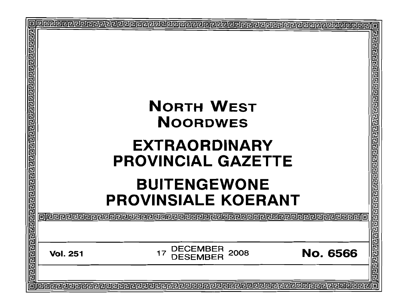| 回 |                                                                                                                      | E<br>呂足  |
|---|----------------------------------------------------------------------------------------------------------------------|----------|
|   | <b>NORTH WEST</b><br><b>NOORDWES</b>                                                                                 |          |
|   | <b>EXTRAORDINARY</b><br><b>PROVINCIAL GAZETTE</b>                                                                    |          |
|   | <b>BUITENGEWONE</b><br><b>PROVINSIALE KOERANT</b>                                                                    | a<br>2   |
|   |                                                                                                                      | 민민민민     |
|   | <b>DECEMBER</b><br>DESEMBER<br>2008<br><b>No. 6566</b><br>17<br><b>Vol. 251</b>                                      | 巴巴巴<br>립 |
|   | <b>eleccione de la concelección de la concelección de la concelección de la concelección de la concelección de l</b> |          |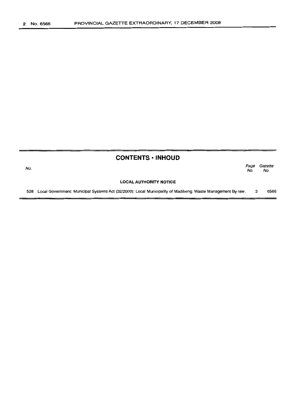No.

# **CONTENTS ·INHOUD**

Page Gazette No. No.

#### **LOCAL AUTHORITY NOTICE**

528 Local Government: Municipal Systems Act (32/2000): Local Municipality of Madibeng: Waste Management By-law. 3 6566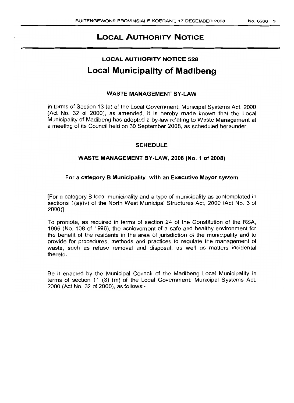# LOCAL AUTHORITY NOTICE

# LOCAL AUTHORITY NOTICE 528 Local Municipality of Madibeng

# WASTE MANAGEMENT BY-LAW

In terms of Section 13 (a) of the Local Government: Municipal Systems Act, 2000 (Act No. 32 of 2000), as amended, it is hereby made known that the Local Municipality of Madibeng has adopted a by-law relating to Waste Management at a meeting of its Council held on 30 September 2008, as scheduled hereunder.

### **SCHEDULE**

### WASTE MANAGEMENT BY-LAW, 2008 (No.1 of 2008)

### For a category B Municipality with an Executive Mayor system

[For a category B local municipality and a type of municipality as contemplated in sections 1(a)(iv) of the North West Municipal Structures Act, 2000 (Act No. 3 of 2000)]

To promote, as required in terms of section 24 of the Constitution of the RSA, 1996 (No. 108 of 1996), the achievement of a safe and healthy environment for the benefit of the residents in the area of jurisdiction of the municipality and to provide for procedures, methods and practices to regulate the management of waste, such as refuse removal and disposal, as well as matters incidental thereto.

Be it enacted by the Municipal Council of the Madibeng Local Municipality in terms of section 11 (3) (m) of the Local Government: Municipal Systems Act, 2000 (Act No. 32 of 2000), as follows:-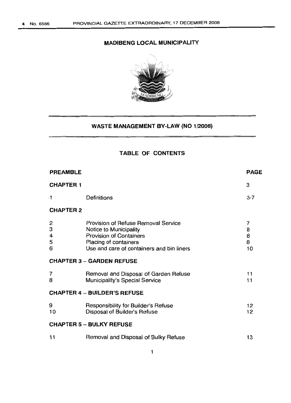# **MADIBENG LOCAL MUNICIPALITY**



# **WASTE MANAGEMENT BY-LAW (NO 1/2008)**

# **TABLE OF CONTENTS**

|                                                                                                                                                                              | <b>PAGE</b>            |  |  |  |  |  |  |
|------------------------------------------------------------------------------------------------------------------------------------------------------------------------------|------------------------|--|--|--|--|--|--|
|                                                                                                                                                                              | 3                      |  |  |  |  |  |  |
| Definitions                                                                                                                                                                  | $3 - 7$                |  |  |  |  |  |  |
| <b>CHAPTER 2</b>                                                                                                                                                             |                        |  |  |  |  |  |  |
| <b>Provision of Refuse Removal Service</b><br>Notice to Municipality<br><b>Provision of Containers</b><br>Placing of containers<br>Use and care of containers and bin liners | 7<br>8<br>8<br>8<br>10 |  |  |  |  |  |  |
| <b>CHAPTER 3 - GARDEN REFUSE</b>                                                                                                                                             |                        |  |  |  |  |  |  |
| Removal and Disposal of Garden Refuse<br>Municipality's Special Service                                                                                                      | 11<br>11               |  |  |  |  |  |  |
| <b>CHAPTER 4 - BUILDER'S REFUSE</b>                                                                                                                                          |                        |  |  |  |  |  |  |
| Responsibility for Builder's Refuse<br>Disposal of Builder's Refuse                                                                                                          | 12<br>12               |  |  |  |  |  |  |
| <b>CHAPTER 5 - BULKY REFUSE</b>                                                                                                                                              |                        |  |  |  |  |  |  |
| Removal and Disposal of Bulky Refuse                                                                                                                                         | 13                     |  |  |  |  |  |  |
|                                                                                                                                                                              |                        |  |  |  |  |  |  |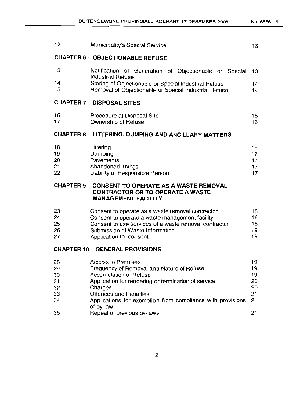|                                                                                                                                   | 12                                                          | Municipality's Special Service                                                                                                                                                                                                                                           | 13                                     |  |  |  |
|-----------------------------------------------------------------------------------------------------------------------------------|-------------------------------------------------------------|--------------------------------------------------------------------------------------------------------------------------------------------------------------------------------------------------------------------------------------------------------------------------|----------------------------------------|--|--|--|
|                                                                                                                                   | <b>CHAPTER 6 - OBJECTIONABLE REFUSE</b>                     |                                                                                                                                                                                                                                                                          |                                        |  |  |  |
|                                                                                                                                   | 13                                                          | Notification of Generation of Objectionable or Special<br><b>Industrial Refuse</b>                                                                                                                                                                                       | 13                                     |  |  |  |
|                                                                                                                                   | 14<br>15                                                    | Storing of Objectionable or Special Industrial Refuse<br>Removal of Objectionable or Special Industrial Refuse                                                                                                                                                           | 14<br>14                               |  |  |  |
|                                                                                                                                   | <b>CHAPTER 7 - DISPOSAL SITES</b>                           |                                                                                                                                                                                                                                                                          |                                        |  |  |  |
|                                                                                                                                   | 16<br>17                                                    | Procedure at Disposal Site<br>Ownership of Refuse                                                                                                                                                                                                                        | 15<br>16                               |  |  |  |
|                                                                                                                                   | <b>CHAPTER 8 - LITTERING, DUMPING AND ANCILLARY MATTERS</b> |                                                                                                                                                                                                                                                                          |                                        |  |  |  |
|                                                                                                                                   | 18<br>19<br>20<br>21<br>22                                  | Littering<br>Dumping<br>Pavements<br><b>Abandoned Things</b><br>Liability of Responsible Person                                                                                                                                                                          | 16<br>17<br>17<br>17<br>17             |  |  |  |
| <b>CHAPTER 9 - CONSENT TO OPERATE AS A WASTE REMOVAL</b><br><b>CONTRACTOR OR TO OPERATE A WASTE</b><br><b>MANAGEMENT FACILITY</b> |                                                             |                                                                                                                                                                                                                                                                          |                                        |  |  |  |
|                                                                                                                                   | 23<br>24<br>25<br>26<br>27                                  | Consent to operate as a waste removal contractor<br>Consent to operate a waste management facility<br>Consent to use services of a waste removal contractor<br>Submission of Waste Information<br>Application for consent                                                | 18<br>18<br>18<br>19<br>19             |  |  |  |
|                                                                                                                                   | <b>CHAPTER 10 - GENERAL PROVISIONS</b>                      |                                                                                                                                                                                                                                                                          |                                        |  |  |  |
|                                                                                                                                   | 28<br>29<br>30<br>31<br>32<br>33<br>34                      | <b>Access to Premises</b><br>Frequency of Removal and Nature of Refuse<br><b>Accumulation of Refuse</b><br>Application for rendering or termination of service<br>Charges<br><b>Offences and Penalties</b><br>Applications for exemption from compliance with provisions | 19<br>19<br>19<br>20<br>20<br>21<br>21 |  |  |  |
|                                                                                                                                   | 35                                                          | of by-law<br>Repeal of previous by-laws                                                                                                                                                                                                                                  | 21                                     |  |  |  |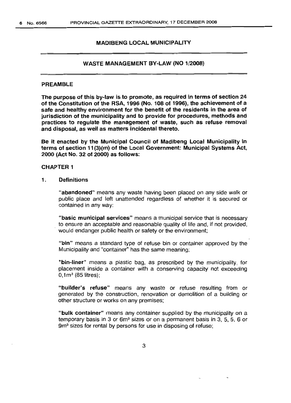#### MADIBENG LOCAL MUNICIPALITY

#### WASTE MANAGEMENT BY-LAW (NO 1/2008)

#### PREAMBLE

The purpose of this by-law is to promote, as required in terms of section 24 of the Constitution of the RSA, 1996 (No. 108 of 1996), the achievement of a safe and healthy environment for the benefit of the residents in the area of jurisdiction of the municipality and to provide for procedures, methods and practices to regulate the management of waste, such as refuse removal and disposal, as well as matters incidental thereto.

Be it enacted by the Municipal Council of Madibeng Local Municipality in terms of section 11(3)(m) of the Local Government: Municipal Systems Act, 2000 (Act No. 32 of 2000) as follows:

#### CHAPTER 1

1. Definitions

"abandoned" means any waste having been placed on any side walk or public place and left unattended regardless of whether it is secured or contained in any way:

"basic municipal services" means a municipal service that is necessary to ensure an acceptable and reasonable quality of life and, if not provided, . would endanger public health or safety or the environment;

"bin" means a standard type of refuse bin or container approved by the Municipality and "container" has the same meaning;

"bin-liner" means a plastic bag, as prescribed by the municipality, for placement inside a container with a conserving capacity not exceeding  $0,1m<sup>3</sup>$  (85 litres);

"builder's refuse" means any waste or refuse resulting from or generated by the construction, renovation or demolition of a building or other structure or works on any premises;

"bulk container" means any container supplied by the municipality on a temporary basis in 3 or 6m<sup>3</sup> sizes or on a permanent basis in 3, 5, 5, 6 or 9m<sup>3</sup> sizes for rental by persons for use in disposing of refuse;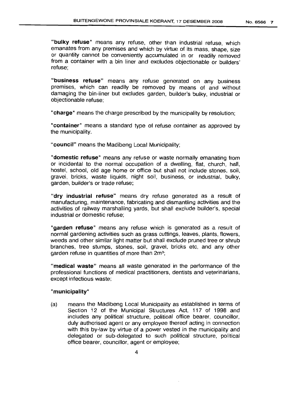"bulky refuse" means any refuse, other than industrial refuse, which emanates from any premises and which by virtue of its mass, shape, size or quantity cannot be conveniently accumulated in or readily removed from a container with a bin liner and excludes objectionable or builders' refuse;

"business refuse" means any refuse generated on any business premises, which can readily be removed by means of and without damaging the bin-liner but excludes garden, builder's bulky, industrial or objectionable refuse;

"charge" means the charge prescribed by the municipality by resolution;

"container" means a standard type of refuse container as approved by the municipality.

"council" means the Madibeng Local Municipality;

"domestic refuse" means any refuse or waste normally emanating from or incidental to the normal occupation of a dwelling, flat, church, hall, hostel, school, old age home or office but shall not include stones, soil, gravel, bricks, waste liquids, night soil, business, or industrial, bulky, garden, builder's or trade refuse;

"dry industrial refuse" means dry refuse generated as a result of manufacturing, maintenance, fabricating and dismantling activities and the activities of railway marshalling yards, but shall exclude builder's, special industrial or domestic refuse;

"garden refuse" means any refuse which is generated as a result of normal gardening activities such as grass cuttings, leaves, plants, flowers, weeds and other similar light matter but shall exclude pruned tree or shrub branches, tree stumps, stones, soil, gravel, bricks etc, and any other garden refuse in quantities of more than  $2m^3$ ;

"medical waste" means all waste generated in the performance of the professional functions of medical practitioners, dentists and veterinarians, except infectious waste;

#### "municipality"

(a) means the Madibeng Local Municipality as established in terms of Section 12 of the Municipal Structures Act, 117 of 1998 and includes any political structure, political office bearer, councillor, duly authorised agent or any employee thereof acting in connection with this by-law by virtue of a power vested in the municipality and delegated or sub-delegated to such political structure, political office bearer, councillor, agent or employee;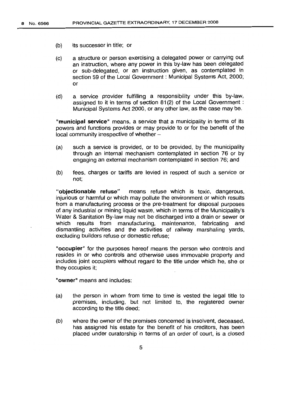- (b) its successor in title; or
- (c) a structure or person exercising a delegated power or carrying out an instruction, where any power in this by-law has been delegated or sub-delegated, or an instruction given, as contemplated in section 59 of the Local Government: Municipal Systems Act, 2000; or
- (d) a service provider fulfilling a responsibility under this by-law, assigned to it in terms of section 81(2) of the Local Government: Municipal Systems Act 2000, or any other law, as the case may be.

**"municipal** service" means, a service that a municipality in -terms of its powers and functions provides or may provide to or for the benefit of the local community irrespective of whether -

- (a) such a service is provided, or to be provided, by the municipality through an internal mechanism contemplated in section 76 or by engaging an external mechanism contemplated in section 76; and
- (b) fees, charges or tariffs are levied in respect of such a service or not;

"objectionable refuse" means refuse which is toxic, dangerous, injurious or harmful or which may pollute the environment or which results from a manufacturing process or the pre-treatment for disposal purposes of any industrial or mining liquid waste, which in terms of the Municipality's Water & Sanitation By-law may not be discharged into a drain or sewer or which results from manufacturing, maintenance, fabricating and dismantling activities and the activities of railway marshaling yards, excluding builders refuse or domestic refuse;

"occupier" for the purposes hereof means the person who controls and resides in or who controls and otherwise uses immovable property and includes joint occupiers without regard to the title under which he, she or they occupies it;

"owner" means and includes:

- (a) the person in whom from time to time is vested the legal title to premises, including, but not limited to, the registered owner according to the title deed;
- (b) where the owner of the premises concerned is insolvent, deceased, has assigned his estate for the benefit of his creditors, has been placed under curatorship in terms of an order of court, is a closed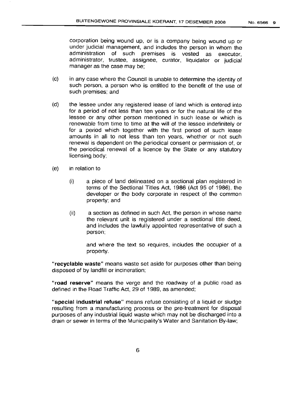corporation being wound up, or is a company being wound up or under judicial management, and includes the person in whom the administration of such premises is vested as executor, administrator, trustee, assignee, curator, liquidator or judicial manager as the case may be;

- (c) in any case where the Council is unable to determine the identity of such person, a person who is entitled to the benefit of the use of such premises; and
- (d) the lessee under any registered lease of land which is entered into for a period of not less than ten years or for the natural life of the lessee or any other person mentioned in such lease or which is renewable from time to time at the will of the lessee indefinitely or for a period which together with the first period of such lease amounts in all to not less than ten years, whether or not such renewal is dependent on the periodical consent or permission of, or the periodical renewal of a licence by the State or any statutory licensing body;
- (e) in relation to
	- (i) a piece of land delineated on a sectional plan registered in terms of the Sectional Titles Act, 1986 (Act 95 of 1986), the developer or the body corporate in respect of the common property; and
	- (ii) a section as defined in such Act, the person in whose name the relevant unit is registered under a sectional title deed, and includes the lawfully appointed representative of such a person;

and where the text so requires, includes the occupier of a property.

"recyclable waste" means waste set aside for purposes other than being disposed of by landfill or incineration;

"road reserve" means the verge and the roadway of a public road as defined in the Road Traffic Act, 29 of 1989, as amended;

"special industrial refuse" means refuse consisting of a liquid or sludge resulting from a manufacturing process or the pre-treatment for disposal purposes of any industrial liquid waste which may not be discharged into a drain or sewer in terms of the Municipality's Water and Sanitation By-law;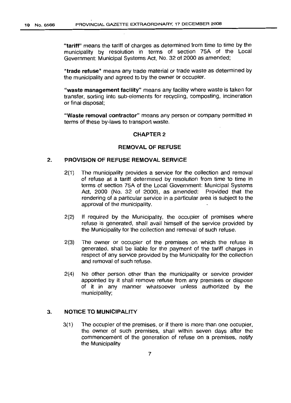"tariff" means the tariff of charges as determined from time to time by the municipality by resolution in terms of section 75A of the Local Government: Municipal Systems Act, No. 32 of 2000 as amended;

"trade refuse" means any trade material or trade waste as determined by the municipality and agreed to by the owner or occupier.

"waste management facility" means any facility where waste is taken for transfer, sorting into sub-elements for recycling, composting, incineration or final disposal;

"Waste removal contractor" means any person or company permitted in terms of these by-laws to transport waste.

#### CHAPTER 2

#### REMOVAL OF REFUSE

#### 2. PROVISION OF REFUSE REMOVAL SERVICE

- 2(1) The municipality provides a service for the collection and removal of refuse at a tariff determined by resolution from time to time in terms of section 75A of the Local Government: Municipal Systems Act, 2000 (No. 32 of 2000). as amended: Provided that the rendering of a particular service in a particular area is subject to the approval of the municipality.
- 2(2) If required by the Municipality, the occupier of premises where refuse is generated, shall avail himself of the service provided by the Municipality for the collection and removal of such refuse.
- 2(3) The owner or occupier of the premises on which the refuse is generated, shall be liable for the payment of the tariff charges in respect of any service provided by the Municipality for the collection and removal of such refuse.
- 2(4) No other person other than the municipality or service provider appointed by it shall remove refuse from any premises or dispose of it in any manner whatsoever unless authorized by the municipality;

#### 3. NOTICE TO MUNICIPALITY

3(1) The occupier of the premises, or if there is more than one occupier, the owner of such premises, shall within seven days after the commencement of the generation of refuse on a premises, notify the Municipality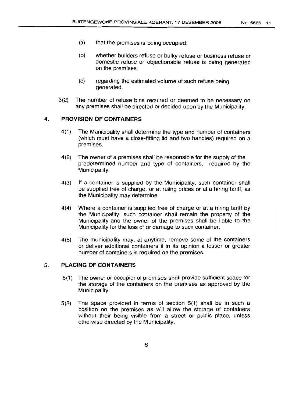- (a) that the premises is being occupied;
- (b) whether builders refuse or bulky refuse or business refuse or domestic refuse or objectionable refuse is being generated on the premises;
- (c) regarding the estimated volume of such refuse being generated.
- 3(2) The number of refuse bins required or deemed to be necessary on any premises shall be directed or decided upon by the Municipality.

## 4. **PROVISION OF CONTAINERS**

- 4(1) The Municipality shall determine the type and number of containers (which must have a close-fitting lid and two handles) required on a premises.
- 4(2) The owner of a premises shall be responsible for the supply of the predetermined number and type of containers, required by the Municipality.
- 4(3) If a container is supplied by the Municipality, such container shall be supplied free of charge, or at ruling prices or at a hiring tariff, as the Municipality may determine.
- 4(4) Where a container is supplied free of charge or at a hiring tariff by the Municipality, such container shall remain the property of the Municipality and the owner of the premises shall be liable to the Municipality for the loss of or damage to such container.
- 4(5) The municipality may, at anytime, remove some of the containers or deliver additional containers if in its opinion a lesser or greater number of containers is required on the premises.

#### 5. **PLACING OF CONTAINERS**

- 5(1) The owner or occupier of premises shall provide sufficient space for the storage of the containers on the premises as approved by the Municipality.
- 5(2) The space provided in terms of section 5(1) shall be in such a position on the premises as will allow the storage of containers without their being visible from a street or public place, unless otherwise directed by the Municipality.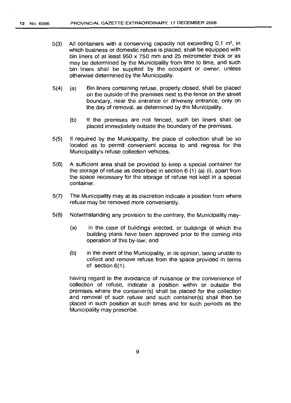- 5(3) All containers with a conserving capacity not exceeding  $0,1 \text{ m}^3$ , in which business or domestic refuse is placed, shall be equipped with bin liners of at least 950 x 750 mm and 25 micrometer thick or as may be determined by the Municipality from time to time, and such bin liners shall be supplied by the occupant or owner, unless otherwise determined by the Municipality.
- 5(4) (a) Bin liners containing refuse, properly closed, shall be placed on the outside of the premises next to the fence on the street boundary, near the entrance or driveway entrance, only on the day of removal, as determined by the Municipality.
	- (b) If the premises are not fenced, such bin liners shall be placed immediately outside the boundary of the premises.
- 5(5) If required by the Municipality, the place of collection shall be so located as to permit convenient access to and regress for the Municipality's refuse collection vehicles.
- 5(6) A sufficient area shall be provided to keep a special container for the storage of refuse as described in section 6 (1) (a) (i), apart from the space necessary for the storage of refuse not kept in a special container.
- 5(7) The Municipality may at its discretion indicate a position from where refuse may be removed more conveniently.
- 5(8) Notwithstanding any provision to the contrary, the Municipality may-
	- (a) in the case of buildings erected, or buildings of which the building plans have been approved prior to the coming into operation of this by-law; and
	- (b) in the event of the Municipality, in its opinion, being unable to collect and remove refuse from the space provided in terms of section 6(1).

having regard to the avoidance of nuisance or the convenience of collection of refuse, indicate a position within or outside the premises where the container(s) shall be placed for the collection and removal of such refuse and such container(s) shall then be placed in such position at such times and for such periods as the Municipality may prescribe.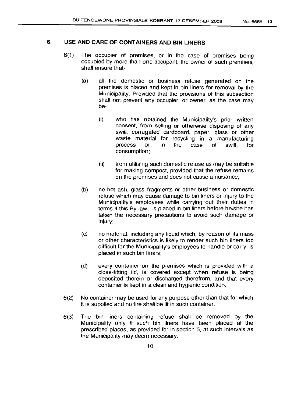# 6. **USE AND CARE OF CONTAINERS AND BIN LINERS**

- 6(1) The occupier of premises, or in the case of premises being occupied by more than one occupant, the owner of such premises, shall ensure that-
	- (a) all the domestic or business refuse generated on the premises is placed and kept in bin liners for removal by the Municipality: Provided that the provisions of this subsection shall not prevent any occupier, or owner, as the case may be-
		- (i) who has obtained the Municipality's prior written consent, from selling or otherwise disposing of any swill, corrugated cardboard, paper, glass or other waste material for recycling in a manufacturing process or, in the case of swill, for consumption;
		- (ii) from utilising such domestic refuse as may be suitable for making compost, provided that the refuse remains on the premises and does not cause a nuisance;
	- (b) no hot ash, glass fragments or other business or domestic refuse which may cause damage to bin liners or injury to the Municipality's employees while carrying' out their duties in terms if this By-law, is placed in bin liners before he/she has taken the necessary precautions to avoid such damage or injury;
	- (c) no material, including any liquid which, by reason of its mass or other characteristics is likely to render such bin liners too difficult for the Municipality's employees to handle or carry, is placed in such bin liners;
	- (d) every container on the premises which is provided with a close-fitting lid, is covered except when refuse is being deposited therein or discharged therefrom, and that every container is kept in a clean and hygienic condition.
- 6(2) No container may be used for any purpose other than that for which it is supplied and no fire shall be lit in such container.
- 6(3) The bin liners containing refuse shall be removed by the Municipality only if such bin liners have been placed at the prescribed places, as provided for in section 5, at such intervals as the Municipality may deem necessary.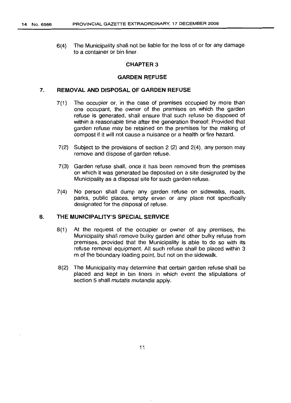6(4) The Municipality shall not be liable for the loss of or for any damage to a container or bin liner.

#### **CHAPTER 3**

#### **GARDEN REFUSE**

#### 7. **REMOVAL AND DISPOSAL OF GARDEN REFUSE**

- 7(1) The occupier or, in the case of premises occupied by more than one occupant, the owner of the premises on which the garden refuse is generated, shall ensure that such refuse be disposed of within a reasonable time after the generation thereof: Provided that garden refuse may be retained on the premises for the making of compost if it will not cause a nuisance or a health or fire hazard.
- 7(2) Subject to the provisions of section 2 (2) and 2(4), any person may remove and dispose of garden refuse.
- 7(3) Garden refuse shall, once it has been removed from the premises on which it was generated be deposited on a site designated by the Municipality as a disposal site for such garden refuse.
- 7(4) No person shall dump any garden refuse on sidewalks, roads, parks, public places, empty erven or any place not specifically designated for the disposal of refuse.

#### **8. THE MUNICIPALITY'S SPECIAL SERVICE**

- 8(1) At the request of the occupier or owner of any premises, the Municipality shall remove bulky garden and other bulky refuse from premises, provided that the Municipality is able to do so with its refuse removal equipment. All such refuse shall be placed within 3 m of the boundary loading point, but not on the sidewalk.
- 8(2) The Municipality may determine that certain garden refuse shall be placed and kept in bin liners in which event the stipulations of section 5 shall *mutatis mutandis* apply.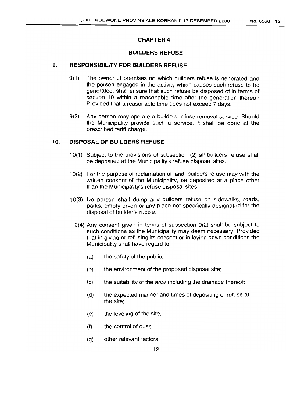#### **CHAPTER 4**

#### **BUILDERS REFUSE**

## 9. **RESPONSIBILITY FOR BUILDERS REFUSE**

- 9(1) The owner of premises on which builders refuse is generated and the person engaged in the activity which causes such refuse to be generated, shall ensure that such refuse be disposed of in terms of section 10 within a reasonable time after the generation thereof: Provided that a reasonable time does not exceed 7 days.
- 9(2) Any person may operate a builders refuse removal service. Should the Municipality provide such a service, it shall be done at the prescribed tariff charge.

#### 10. **DISPOSAL OF BUILDERS REFUSE**

- 10(1) Subject to the provisions of subsection (2) all builders refuse shall be deposited at the Municipality's refuse disposal sites.
- 10(2) For the purpose of reclamation of land, builders refuse may with the written consent of the Municipality, be deposited at a place other than the Municipality's refuse disposal sites.
- 10(3) No person shall dump any builders refuse on sidewalks, roads, parks, empty erven or any place not specifically designated for the disposal of builder's rubble.
- 10(4) Any consent given in terms of subsection 9(2) shall be subject to such conditions as the Municipality may deem necessary: Provided that in giving or refusing its consent or in laying down conditions the Municipality shall have regard to-
	- (a) the safety of the public;
	- (b) the environment of the proposed disposal site;
	- (c) the suitability of the area including the drainage thereof;
	- (d) the expected manner and times of depositing of refuse at the site;
	- (e) the leveling of the site;
	- (f) the control of dust;
	- (g) other relevant factors.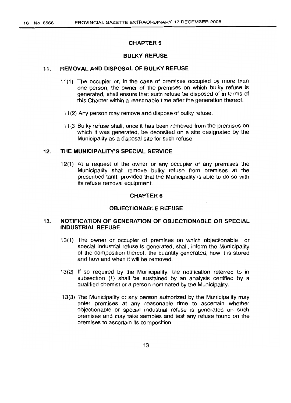#### CHAPTER 5

# BULKY REFUSE

### 11. REMOVAL AND DISPOSAL OF BULKY REFUSE

- 11(1) The occupier or, in the case of premises occupied by more than one person, the owner of the premises on which bulky refuse is generated, shall ensure that such refuse be disposed of in terms of this Chapter within a reasonable time after the generation thereof.
	- 11(2) Any person may remove and dispose of bulky refuse.
	- 11(3 Bulky refuse shall, once it has been removed from the premises on which it was generated, be deposited on a site designated by the Municipality as a disposal site for such refuse.

## 12. THE MUNICIPALITY'S SPECIAL SERVICE

12(1) At a request of the owner or any occupier of any premises the Municipality shall remove bulky refuse from premises at the prescribed tariff, provided that the Municipality is able to do so with its refuse removal equipment.

## CHAPTER 6

#### OBJECTIONABLE REFUSE

## 13. NOTIFICATION OF GENERATION OF OBJECTIONABLE OR SPECIAL INDUSTRIAL REFUSE

- 13(1) The owner or occupier of premises on which objectionable or special industrial refuse is generated, shall, inform the Municipality of the composition thereof, the quantity generated, how it is stored and how and when it will be removed.
- 13(2) If so required by the Municipality, the notification referred to in subsection (1) shall be sustained by an analysis certified by a qualified chemist or a person nominated by the Municipality.
- 13(3) The Municipality or any person authorized by the Municipality may enter premises at any reasonable time to ascertain whether objectionable or special industrial refuse is generated on such premises and may take samples and test any refuse found on the premises to ascertain its composition.